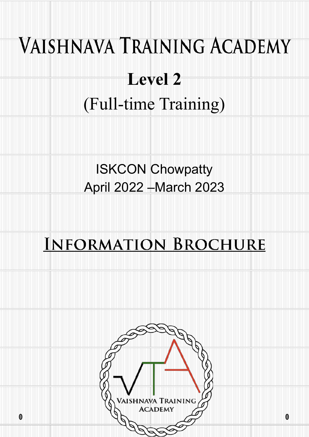# **VAISHNAVA TRAINING ACADEMY**

## **Level 2** (Full-time Training)

### ISKCON Chowpatty April 2022 –March 2023

### **INFORMATION BROCHURE**

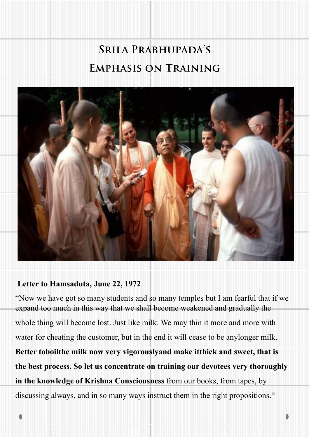### **SRILA PRABHUPADA'S EMPHASIS ON TRAINING**



#### **Letter to Hamsaduta, June 22, 1972**

"Now we have got so many students and so many temples but I am fearful that if we expand too much in this way that we shall become weakened and gradually the whole thing will become lost. Just like milk. We may thin it more and more with water for cheating the customer, but in the end it will cease to be anylonger milk. **Better toboilthe milk now very vigorouslyand make itthick and sweet, that is the best process. So let us concentrate on training our devotees very thoroughly in the knowledge of Krishna Consciousness** from our books, from tapes, by discussing always, and in so many ways instruct them in the right propositions."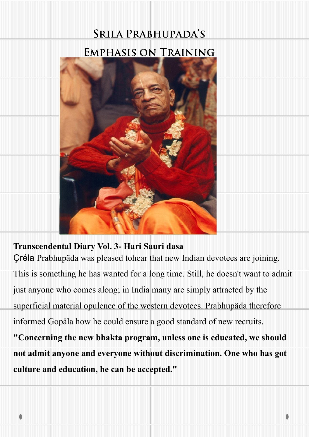## **SRILA PRABHUPADA'S**



#### **Transcendental Diary Vol. 3- Hari Sauri dasa**

Çréla Prabhupäda was pleased tohear that new Indian devotees are joining.

This is something he has wanted for a long time. Still, he doesn't want to admit

just anyone who comes along; in India many are simply attracted by the

superficial material opulence of the western devotees. Prabhupäda therefore

informed Gopäla how he could ensure a good standard of new recruits.

**"Concerning the new bhakta program, unless one is educated, we should not admit anyone and everyone without discrimination. One who has got culture and education, he can be accepted."**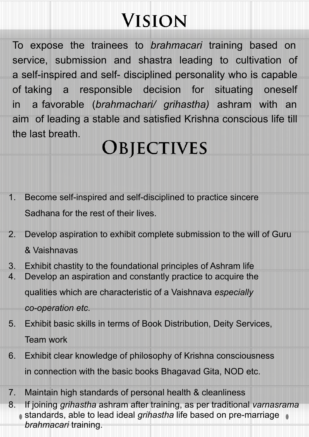## **VISION**

To expose the trainees to *brahmacari* training based on service, submission and shastra leading to cultivation of a self-inspired and self- disciplined personality who is capable of taking a responsible decision for situating oneself in a favorable (*brahmachari/ grihastha)* ashram with an aim of leading a stable and satisfied Krishna conscious life till the last breath.

### **OBJECTIVES**

- 1. Become self-inspired and self-disciplined to practice sincere Sadhana for the rest of their lives.
- 2. Develop aspiration to exhibit complete submission to the will of Guru & Vaishnavas
- 3. Exhibit chastity to the foundational principles of Ashram life
- 4. Develop an aspiration and constantly practice to acquire the qualities which are characteristic of a Vaishnava *especially* 
	- *co-operation etc.*
- 5. Exhibit basic skills in terms of Book Distribution, Deity Services, Team work
- 6. Exhibit clear knowledge of philosophy of Krishna consciousness in connection with the basic books Bhagavad Gita, NOD etc.
- 7. Maintain high standards of personal health & cleanliness
- 8. If joining *grihastha* ashram after training, as per traditional *varnasrama*  standards, able to lead ideal *grihastha* life based on pre-marriage *brahmacari* training.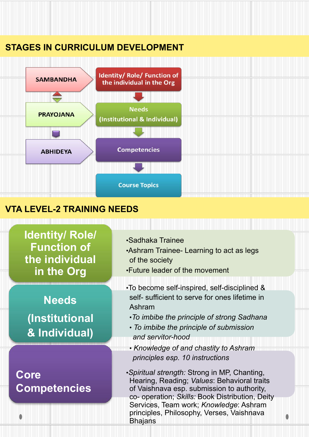#### **STAGES IN CURRICULUM DEVELOPMENT**



#### **VTA LEVEL-2 TRAINING NEEDS**

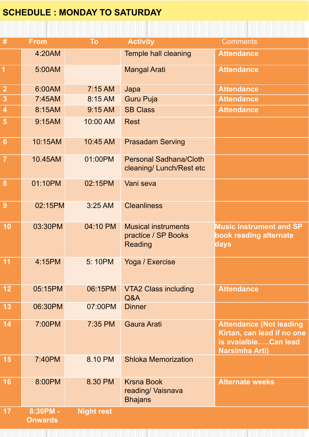#### **SCHEDULE : MONDAY TO SATURDAY**

| $\#$                    | <b>From</b>                  | To                | <b>Activity</b>                                              | <b>Comments</b>                                                                                               |
|-------------------------|------------------------------|-------------------|--------------------------------------------------------------|---------------------------------------------------------------------------------------------------------------|
|                         | 4:20AM                       |                   | Temple hall cleaning                                         | <b>Attendance</b>                                                                                             |
| $\overline{1}$          | 5:00AM                       |                   | <b>Mangal Arati</b>                                          | <b>Attendance</b>                                                                                             |
| $\frac{2}{3}$           | 6:00AM                       | 7:15 AM           | Japa                                                         | <b>Attendance</b>                                                                                             |
|                         | 7:45AM                       | 8:15 AM           | <b>Guru Puja</b>                                             | <b>Attendance</b>                                                                                             |
| $\overline{\mathbf{4}}$ | 8:15AM                       | 9:15 AM           | <b>SB Class</b>                                              | <b>Attendance</b>                                                                                             |
| $\overline{\mathbf{5}}$ | 9:15AM                       | 10:00 AM          | <b>Rest</b>                                                  |                                                                                                               |
| $6\phantom{1}$          | 10:15AM                      | 10:45 AM          | <b>Prasadam Serving</b>                                      |                                                                                                               |
| $\overline{7}$          | 10.45AM                      | 01:00PM           | <b>Personal Sadhana/Cloth</b><br>cleaning/ Lunch/Rest etc    |                                                                                                               |
| $\boldsymbol{8}$        | 01:10PM                      | 02:15PM           | Vani seva                                                    |                                                                                                               |
| $\overline{9}$          | 02:15PM                      | 3:25 AM           | <b>Cleanliness</b>                                           |                                                                                                               |
| 10                      | 03:30PM                      | 04:10 PM          | <b>Musical instruments</b><br>practice / SP Books<br>Reading | <b>Music instrument and SP</b><br>book reading alternate<br>days                                              |
| 11                      | 4:15PM                       | 5:10PM            | Yoga / Exercise                                              |                                                                                                               |
| 12                      | 05:15PM                      | 06:15PM           | <b>VTA2 Class including</b><br>Q&A                           | <b>Attendance</b>                                                                                             |
| 13                      | 06:30PM                      | 07:00PM           | <b>Dinner</b>                                                |                                                                                                               |
| 14                      | 7:00PM                       | 7:35 PM           | <b>Gaura Arati</b>                                           | <b>Attendance (Not leading</b><br>Kirtan, can lead if no one<br>is avaialbleCan lead<br><b>Narsimha Arti)</b> |
| 15                      | 7:40PM                       | 8.10 PM           | <b>Shloka Memorization</b>                                   |                                                                                                               |
| 16                      | 8:00PM                       | 8.30 PM           | <b>Krsna Book</b><br>reading/ Vaisnava<br><b>Bhajans</b>     | <b>Alternate weeks</b>                                                                                        |
| 17                      | $8:30PM -$<br><b>Onwards</b> | <b>Night rest</b> |                                                              |                                                                                                               |

in a componente que a componente a componente de componente de componente a componente de la componente de la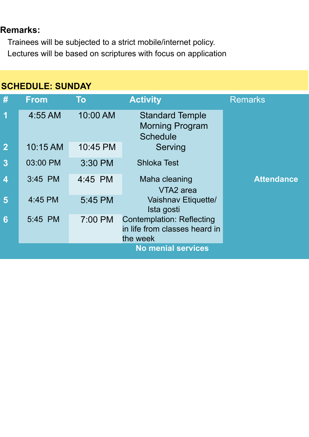#### **Remarks:**

Trainees will be subjected to a strict mobile/internet policy. Lectures will be based on scriptures with focus on application

#### **SCHEDULE: SUNDAY**

| #                         | <b>From</b> | <b>To</b> | <b>Activity</b>                                                        | <b>Remarks</b>    |  |  |
|---------------------------|-------------|-----------|------------------------------------------------------------------------|-------------------|--|--|
| 1                         | 4:55 AM     | 10:00 AM  | <b>Standard Temple</b><br><b>Morning Program</b><br><b>Schedule</b>    |                   |  |  |
| $\overline{2}$            | 10:15 AM    | 10:45 PM  | Serving                                                                |                   |  |  |
| $\overline{3}$            | 03:00 PM    | 3:30 PM   | <b>Shloka Test</b>                                                     |                   |  |  |
| $\overline{\mathbf{4}}$   | $3:45$ PM   | 4:45 PM   | Maha cleaning<br>VTA <sub>2</sub> area                                 | <b>Attendance</b> |  |  |
| 5                         | 4:45 PM     | 5:45 PM   | Vaishnav Etiquette/<br>Ista gosti                                      |                   |  |  |
| $6\phantom{1}6$           | 5:45 PM     | 7:00 PM   | Contemplation: Reflecting<br>in life from classes heard in<br>the week |                   |  |  |
| <b>No menial services</b> |             |           |                                                                        |                   |  |  |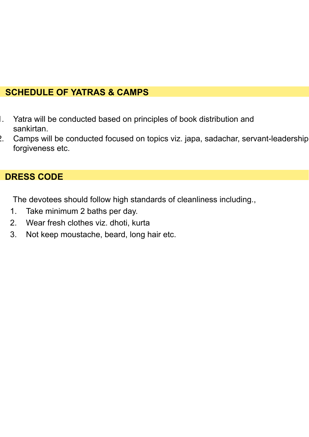#### **SCHEDULE OF YATRAS & CAMPS**

- 1. Yatra will be conducted based on principles of book distribution and sankirtan.
- 2. Camps will be conducted focused on topics viz. japa, sadachar, servant-leadership forgiveness etc.

#### **DRESS CODE**

The devotees should follow high standards of cleanliness including.,

- 1. Take minimum 2 baths per day.
- 2. Wear fresh clothes viz. dhoti, kurta
- 3. Not keep moustache, beard, long hair etc.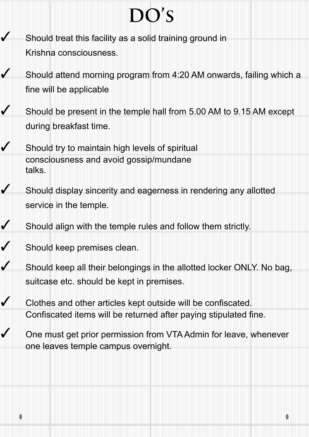# $DO'S$

- Should treat this facility as a solid training ground in Krishna consciousness.
- ✓ Should attend morning program from 4:20 AM onwards, failing which a fine will be applicable
- $\sqrt{\phantom{a}}$  Should be present in the temple hall from 5.00 AM to 9.15 AM except during breakfast time.
- Should try to maintain high levels of spiritual consciousness and avoid gossip/mundane talks.
- ✓ Should display sincerity and eagerness in rendering any allotted service in the temple.
- ✓ Should align with the temple rules and follow them strictly.
- ✓ Should keep premises clean.
- ✓ Should keep all their belongings in the allotted locker ONLY. No bag, suitcase etc. should be kept in premises.
- ✓ Clothes and other articles kept outside will be confiscated. Confiscated items will be returned after paying stipulated fine.
	- One must get prior permission from VTA Admin for leave, whenever one leaves temple campus overnight.

٥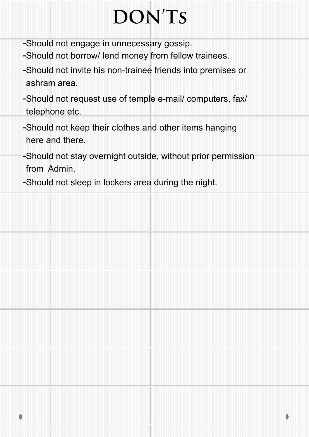# **DON'TS**

- -Should not engage in unnecessary gossip.
- -Should not borrow/ lend money from fellow trainees.
- -Should not invite his non-trainee friends into premises or ashram area.
- -Should not request use of temple e-mail/ computers, fax/ telephone etc.
- -Should not keep their clothes and other items hanging here and there.
- -Should not stay overnight outside, without prior permission from Admin.

٥

-Should not sleep in lockers area during the night.